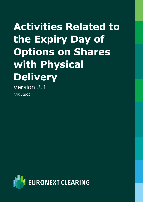# **Activities Related to the Expiry Day of Options on Shares with Physical Delivery** Version 2.1

APRIL 2022

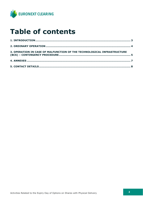

# **Table of contents**

| 3. OPERATION IN CASE OF MALFUNCTION OF THE TECHNOLOGICAL INFRASTRUCTURE |  |
|-------------------------------------------------------------------------|--|
|                                                                         |  |
|                                                                         |  |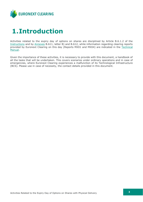

# <span id="page-2-0"></span>**1.Introduction**

Activities related to the expiry day of options on shares are disciplined by Article B.6.1.2 of the [Instructions](https://www.euronext.com/en/post-trade/euronext-clearing/rules-and-regulations) and by [Annexes](https://www.euronext.com/en/post-trade/euronext-clearing/rules-and-regulations) B.611, letter B) and B.612, while information regarding clearing reports provided by Euronext Clearing on this day (Reports MX01 and MX04) are indicated in the Technical [Manual.](https://www.euronext.com/en/post-trade/euronext-clearing/operations)

Given the importance of these activities, it is necessary to provide with this document, a handbook of all the tasks that will be undertaken. This covers scenarios under ordinary operations and in case of emergencies, where Euronext Clearing experiences a malfunction of its Technological Infrastructure (BCS). Please use in case of necessity, the contact details provided in this document.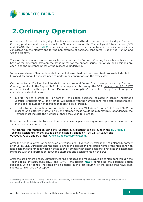

# <span id="page-3-0"></span>**2.Ordinary Operation**

At the end of the last trading day of options on shares (the day before the expiry day), Euronext Clearing produces and makes available to Members, through the Technological Infrastructure (BCS and ICWS), the Report **MX01** containing the proposals for the automatic exercise of positions considered "In-the-Money" and for the non-exercise of positions considered "Out-of-the-Money" and "At-the-Money".

The exercise and non-exercise proposals are performed by Euronext Clearing for each Member on the basis of the difference between the strike prices for the options series (for which long positions are open) and the reference prices of the respective underlying.

In the case where a Member intends to accept all exercised and non-exercised proposals indicated by Euronext Clearing, it does not need to perform any operations on the expiry day.

On the contrary, if a Member intends to make choices different from those proposed by Euronext Clearing, detailed in the Report MX01, it must express this through the BCS, no later than 08:15 CET of the expiry day, with requests for "**Exercise by exception**" **1** (so-called Ex by Ex) following the instructions indicated below:

- in order not to exercise all or part of the option positions indicated in column "Automatic Exercise" of Report MX01, the Member will indicate with the number zero (for a total abandonment) or the desired number of positions that are to be exercised.
- In order to exercise option positions indicated in column "Not-Auto Exercise" of Report MX01 (in absence of a different instruction by the Member these would be automatically abandoned), the Member must indicate the number of those they wish to exercise.

Note that the last exercise by exception request sent supersedes any request previously sent for the same option series and account.

The technical information on using the "Exercise by exception" can be found in the [BCS Manual.](https://www.borsaitaliana.it/borsaitaliana/gestione-mercati/bcs-bitclearingstation/bcs.htm) Technical assistance for the BCS is also available by phone on +39 02 45411399 and 0080026772000 and by e-mail [Client-Support@euronext.com.](mailto:Client-Support@euronext.com)

After the period allowed for submission of requests for "Exercise by exception" has elapsed, namely after 08:15 CET, Euronext Clearing shall exercise the corresponding option rights of the Members with long positions and randomly assign these to the Members with short positions, providing the interested Members with the information about the exercises and assignments on the BCS.

After the assignment phase, Euronext Clearing produces and makes available to Members through the Technological Infrastructure (BCS and ICWS), the Report **MX04** containing the assigned option positions, with evidence (indicated by an asterisk in the last column) of the series that have been subject to "Exercise by exception".

 $1$  According to Article B.6.1.2 paragraph 2 of the Instructions, the exercise by exception is allowed only for options that provides the physical delivery of the underlying.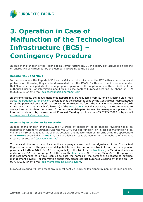

# <span id="page-4-0"></span>**3. Operation in Case of Malfunction of the Technological Infrastructure (BCS) – Contingency Procedure**

In case of malfunction of the Technological Infrastructure (BCS), the expiry day activities on options on shares will be carried out by the Members according to the below:

### **Reports MX01 and MX04**

In the case where the Reports MX01 and MX04 are not available on the BCS either due to technical problems or otherwise, they can be downloaded from the ICWS. For this purpose it is recommended that Members check periodically the appropriate operation of this application and the expiration of the authorized users. For information about this, please contact Euronext Clearing by phone on +39 0632395210 or by e-mail [ccp-techsupport@euronext.com.](mailto:ccp-techsupport@euronext.com)

In extreme cases, the above mentioned Reports may be requested from Euronext Clearing via e-mail at [ccp-operations@euronext.com,](mailto:ccp-operations@euronext.com) provided that the request is sent by the Contractual Representative or by the personnel delegated to exercise, in non-electronic form, the management powers set forth in Article B.1.1.1, paragraph 1), letter h) of the [Instructions.](https://www.euronext.com/en/post-trade/euronext-clearing/rules-and-regulations) For this purpose, it is recommended to always keep up to date the names of the personnel delegated to exercise management powers. For information about this, please contact Euronext Clearing by phone on +39 0272426627 or by e-mail [ccp-membership@euronext.com.](mailto:ccp-membership@euronext.com)

### **Exercise by exception or its revocation**

In case of malfunction of the BCS, the "Exercise by exception" or its possible revocation may be requested in writing to Euronext Clearing via ICWS (Upload function) or, in case of malfunction of it, via fax on +39 06 32395241, as soon as possible, and no later than 08:15 CET, using the appropriate form **[RD010](#page-6-0)** provided in **[Annex 1](#page-6-0)**, also available in editable version on the website of Euronext Clearing at section "[Operations-Forms](https://www.euronext.com/en/post-trade/euronext-clearing/operations)".

To be valid, the form must include the company's stamp and the signature of the Contractual Representative or of the personnel delegated to exercise, in non-electronic form, the management powers, set forth in Article B.1.1.1, paragraph 1), letter h) of the [Instructions](https://www.euronext.com/en/post-trade/euronext-clearing/rules-and-regulations) (for Clearing Members) and in Article B.1.1.2, paragraph 1), letter d) of the [Instructions](https://www.euronext.com/en/post-trade/euronext-clearing/rules-and-regulations) (for Trading Clients). For this purpose, it is recommended to always keep up to date the names of the personnel delegated to exercise management powers. For information about this, please contact Euronext Clearing by phone on +39 0272426627 or by e-mail [ccp-membership@euronext.com.](mailto:ccp-membership@euronext.com)

Euronext Clearing will not accept any request sent via ICWS or fax signed by non authorized people.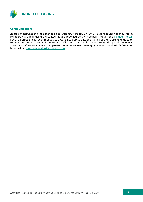

### **Communications**

In case of malfunction of the Technological Infrastructure (BCS / ICWS), Euronext Clearing may inform Members via e-mail using the contact details provided by the Members through the [Member-Portal.](https://memberportal.borsaitaliana.it/login) For this purpose, it is recommended to always keep up to date the names of the referents entitled to receive the communications from Euronext Clearing. This can be done through the portal mentioned above. For information about this, please contact Euronext Clearing by phone on +39 0272426627 or by e-mail at [ccp-membership@euronext.com.](mailto:ccp-membership@euronext.com)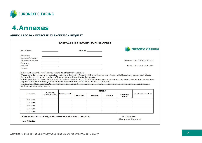

### **4.Annexes**

### **ANNEX 1 RD010 – EXERCISE BY EXCEPTION REQUEST**

<span id="page-6-0"></span>

| As of date:                                                                                                                                                                                       |                       |                                                                 |            | Seq. N.       |        |                          | <b>EURONEXT CLEARING</b>                                                                                                                                                                                                                                                                                                                                                                |
|---------------------------------------------------------------------------------------------------------------------------------------------------------------------------------------------------|-----------------------|-----------------------------------------------------------------|------------|---------------|--------|--------------------------|-----------------------------------------------------------------------------------------------------------------------------------------------------------------------------------------------------------------------------------------------------------------------------------------------------------------------------------------------------------------------------------------|
| Member:                                                                                                                                                                                           |                       |                                                                 |            |               |        |                          |                                                                                                                                                                                                                                                                                                                                                                                         |
| Member's code:                                                                                                                                                                                    |                       |                                                                 |            |               |        |                          |                                                                                                                                                                                                                                                                                                                                                                                         |
| Mnemonic code:                                                                                                                                                                                    |                       |                                                                 |            |               |        |                          | Phone: +39 06 32395 303                                                                                                                                                                                                                                                                                                                                                                 |
| Contact:                                                                                                                                                                                          |                       |                                                                 |            |               |        |                          |                                                                                                                                                                                                                                                                                                                                                                                         |
| Phone:                                                                                                                                                                                            |                       |                                                                 |            |               |        |                          | Fax: +39 06 32395 241                                                                                                                                                                                                                                                                                                                                                                   |
| E-mail:                                                                                                                                                                                           |                       |                                                                 |            |               |        |                          |                                                                                                                                                                                                                                                                                                                                                                                         |
| the number zero or the number of lots you intend to effectively exercise.<br>request are abandoned), you must indicate the number of lots you intend to exercise.<br>sent to the clearing system. |                       | Indicate the number of lots you intend to effectively exercise. |            |               |        |                          | Where you do not wish to exercise options indicated in Report MX01 at the column «Automatic Exercise», you must indicate<br>Where you wish to exercise options indicated in Report MX01 at the column «Non Automatic Exercise» (that without an express<br>The Exercise Request indicated in this form cancels and replaces any previous exercise, referred to the same series/account, |
|                                                                                                                                                                                                   | <b>Account</b>        |                                                                 |            | <b>SERIES</b> |        |                          |                                                                                                                                                                                                                                                                                                                                                                                         |
| <b>Exercise</b>                                                                                                                                                                                   | <b>House / Client</b> | <b>Subaccount</b>                                               | Call / Put | Symbol        | Expiry | <b>Exercise</b><br>price | <b>Positions Number</b>                                                                                                                                                                                                                                                                                                                                                                 |
| Exercise                                                                                                                                                                                          |                       |                                                                 |            |               |        |                          |                                                                                                                                                                                                                                                                                                                                                                                         |
| Exercise                                                                                                                                                                                          |                       |                                                                 |            |               |        |                          |                                                                                                                                                                                                                                                                                                                                                                                         |
| Exercise                                                                                                                                                                                          |                       |                                                                 |            |               |        |                          |                                                                                                                                                                                                                                                                                                                                                                                         |
| Exercise                                                                                                                                                                                          |                       |                                                                 |            |               |        |                          |                                                                                                                                                                                                                                                                                                                                                                                         |
| Exercise                                                                                                                                                                                          |                       |                                                                 |            |               |        |                          |                                                                                                                                                                                                                                                                                                                                                                                         |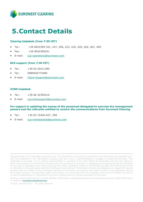

## <span id="page-7-0"></span>**5.Contact Details**

### **Clearing helpdesk (from 7:30 CET)**

- Tel.: +39 0632395-321, 227, 246, 223, 224, 220, 262, 467, 459
- Fax: +39 0632395241
- E-mail: [ccp-operations@euronext.com](mailto:ccp-operations@euronext.com)

### **BCS support (from 7:30 CET)**

- Tel.: +39 02 45411399
- Tel.: 0080026772000
- E-mail: [Client-Support@euronext.com](mailto:Client-Support@euronext.com)

### **ICWS helpdesk**

- Tel.: +39 06 32395210
- E-mail: [ccp-techsupport@euronext.com.](mailto:ccp-techsupport@euronext.com)

#### **For support in updating the names of the personnel delegated to exercise the management powers and the referents entitled to receive the communications from Euronext Clearing**

- Tel.: +39 02 72426-627, 358
- E-mail: [ccp-membership@euronext.com](mailto:ccp-membership@euronext.com)

This document is for information purposes only. The information and materials contained in this document are provided 'as is' and This publication is for information purposes only and is not a recommendation to engage in investment activities. This publication is provided "as is" without representation or warranty of any kind. Whilst all reasonable care has been taken to ensure the accuracy of the content, Euronext does not guarantee its accuracy or completeness. Euronext will not be held liable for any loss or damages of any nature ensuing from using, trusting or acting on information provided. No information set out or referred to in this publication shall form the basis of any contract. The creation of rights and obligations in respect of financial products that are traded on the exchanges operated by Euronext's subsidiaries shall depend solely on the applicable rules of the market operator. All proprietary rights and interest in or connected with this publication shall vest in Euronext. No part of it may be redistributed or reproduced in any form without the prior written permission of Euronext.

Euronext refers to Euronext N.V. and its affiliates. Information regarding trademarks and intellectual property rights of Euronext is located at **euronext.com/terms-use**.

© 2022, Euronext N.V. - All rights reserved.